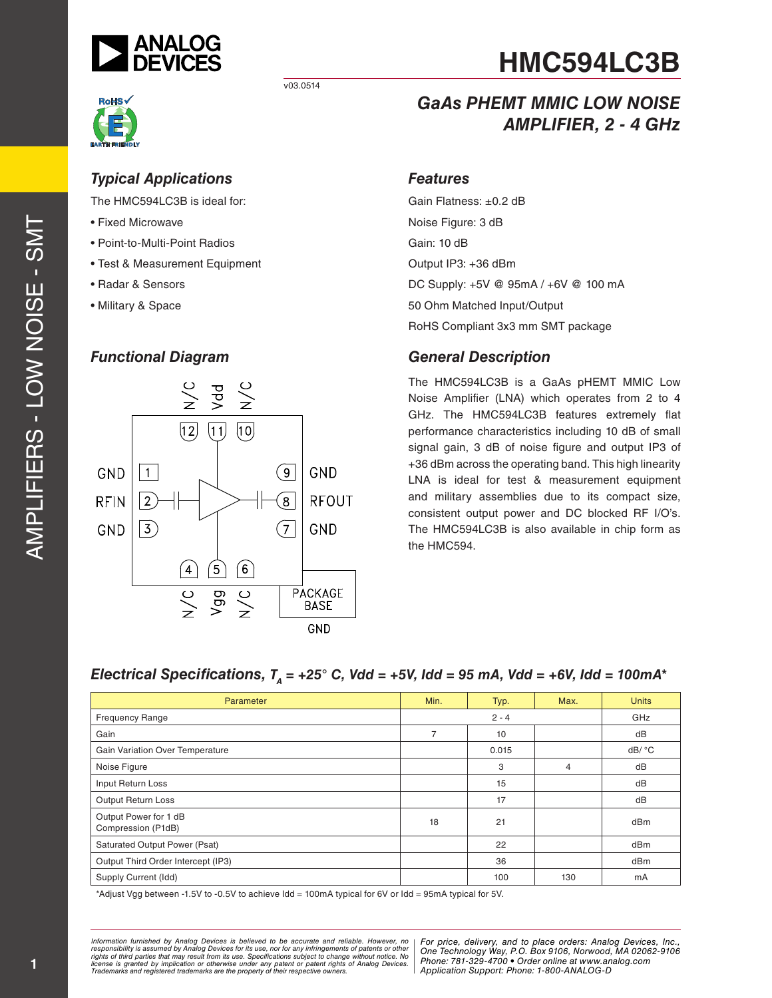

v03.0514



## *Typical Applications*

The HMC594LC3B is ideal for:

- Fixed Microwave
- Point-to-Multi-Point Radios
- Test & Measurement Equipment
- Radar & Sensors
- Military & Space

#### *Functional Diagram*



# *GaAs PHEMT MMIC LOW NOISE AMPLIFIER, 2 - 4 GHz*

#### *Features*

Gain Flatness: ±0.2 dB Noise Figure: 3 dB Gain: 10 dB Output IP3: +36 dBm DC Supply: +5V @ 95mA / +6V @ 100 mA 50 Ohm Matched Input/Output RoHS Compliant 3x3 mm SMT package

## *General Description*

The HMC594LC3B is a GaAs pHEMT MMIC Low Noise Amplifier (LNA) which operates from 2 to 4 GHz. The HMC594LC3B features extremely flat performance characteristics including 10 dB of small signal gain, 3 dB of noise figure and output IP3 of +36 dBm across the operating band. This high linearity LNA is ideal for test & measurement equipment and military assemblies due to its compact size, consistent output power and DC blocked RF I/O's. The HMC594LC3B is also available in chip form as the HMC594.

# *Electrical Specifications, TA = +25° C, Vdd = +5V, Idd = 95 mA, Vdd = +6V, Idd = 100mA\**

| Parameter                                   | Min.    | Typ.  | Max. | <b>Units</b> |
|---------------------------------------------|---------|-------|------|--------------|
| <b>Frequency Range</b>                      | $2 - 4$ |       |      | GHz          |
| Gain                                        | 7       | 10    |      | dB           |
| Gain Variation Over Temperature             |         | 0.015 |      | dB/ °C       |
| Noise Figure                                |         | 3     | 4    | dB           |
| Input Return Loss                           |         | 15    |      | dB           |
| Output Return Loss                          |         | 17    |      | dB           |
| Output Power for 1 dB<br>Compression (P1dB) | 18      | 21    |      | dBm          |
| Saturated Output Power (Psat)               |         | 22    |      | dBm          |
| Output Third Order Intercept (IP3)          |         | 36    |      | dBm          |
| Supply Current (Idd)                        |         | 100   | 130  | mA           |

\*Adjust Vgg between -1.5V to -0.5V to achieve Idd = 100mA typical for 6V or Idd = 95mA typical for 5V.

*Formation iurnished by Analog Devices is believed to be accurate and reliable. However, no Hor price, delivery, and to place orders: Analog Devices, In<br>roonsibility is assumed by Analog Devices for its use, nor for any pressult from its use. Specifications subject to change without notice. No*<br>ation or otherwise under any patent or patent rights of Analog Devices Phone: 781-329-4700 • Order online at ww *e* the property of their respective owners. **Application Support: Phone: 1-8** *Information furnished by Analog Devices is believed to be accurate and reliable. However, no*  responsibility is assumed by Analog Devices for its use, nor for any infringements of patents or other<br>rights of third parties that may result from its use. Specifications subject to change without notice. No<br>license is gr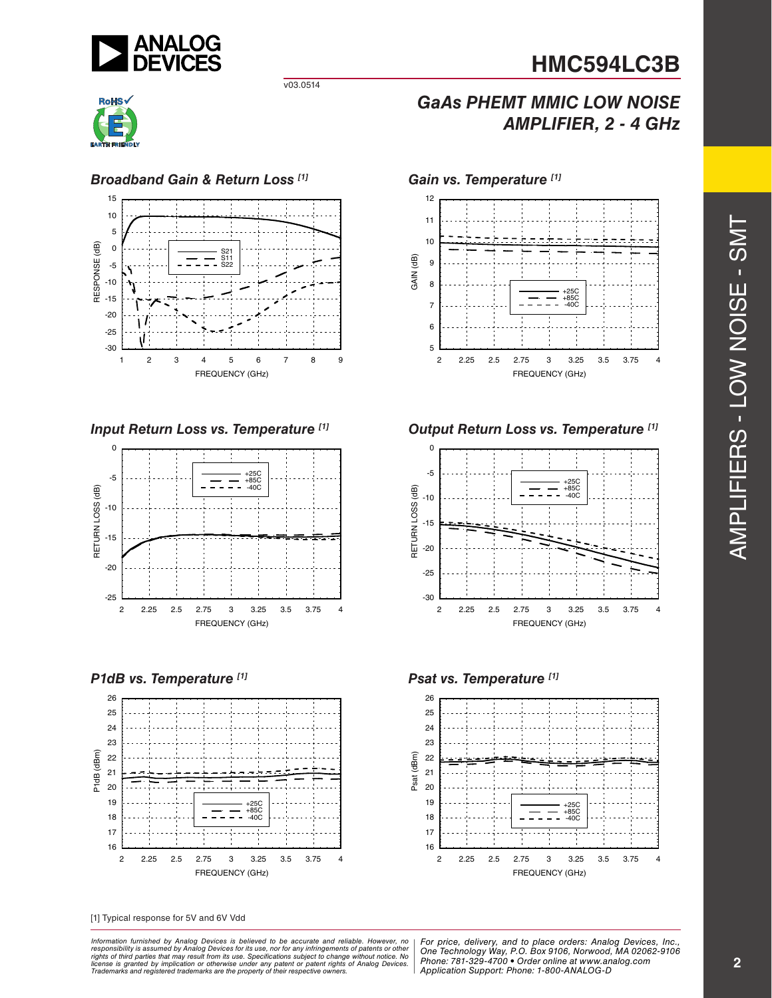

v03.0514



#### *Broadband Gain & Return Loss [1] Gain vs. Temperature [1]*





*P1dB vs. Temperature [1] Psat vs. Temperature [1]*



[1] Typical response for 5V and 6V Vdd

*Formation iurnished by Analog Devices is believed to be accurate and reliable. However, no Hor price, delivery, and to place orders: Analog Devices, In<br>roonsibility is assumed by Analog Devices for its use, nor for any pressult from its use. Specifications subject to change without notice. No*<br>ation or otherwise under any patent or patent rights of Analog Devices Phone: 781-329-4700 • Order online at ww *e* the property of their respective owners. **Application Support: Phone: 1-8** Information furnished by Analog Devices is believed to be accurate and reliable. However, no<br>responsibility is assumed by Analog Devices for its use, nor for any infringements of patents or other<br>rights of third parties th

# *GaAs PHEMT MMIC LOW NOISE AMPLIFIER, 2 - 4 GHz*



#### *Input Return Loss vs. Temperature [1] Output Return Loss vs. Temperature [1]*



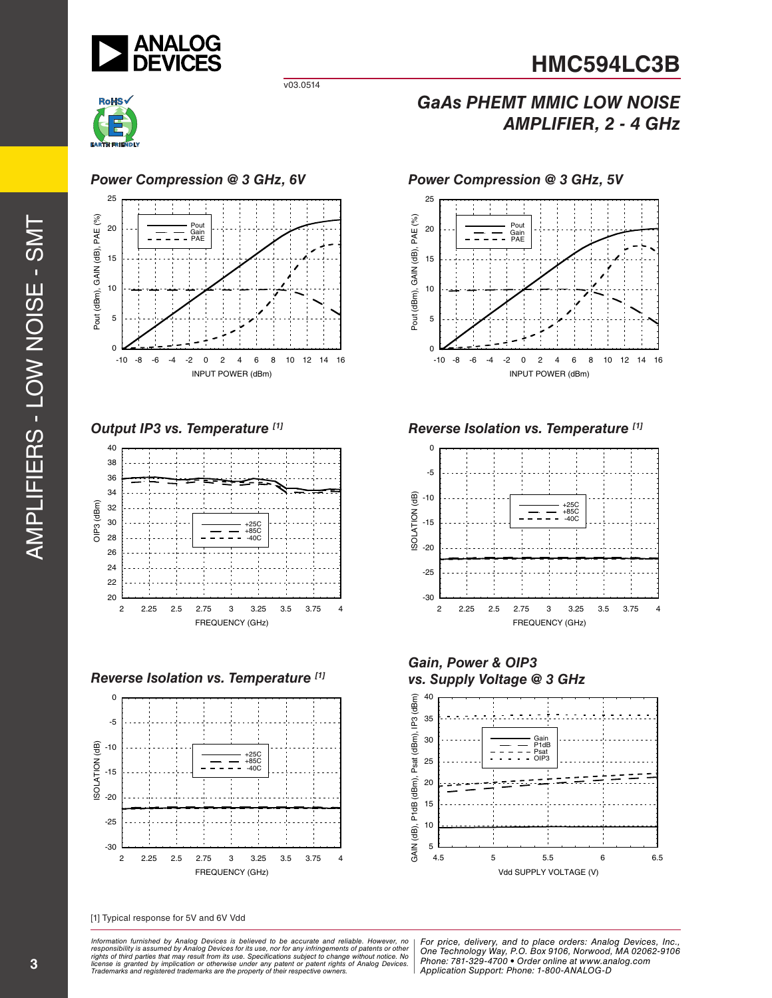

v03.0514



### *Power Compression @ 3 GHz, 6V*



*Output IP3 vs. Temperature [1]*



*Reverse Isolation vs. Temperature*  $[1]$  *iimides in the vs. Supply Voltage @ 3 GHz* 



[1] Typical response for 5V and 6V Vdd

*Formation iurnished by Analog Devices is believed to be accurate and reliable. However, no Hor price, delivery, and to place orders: Analog Devices, In<br>roonsibility is assumed by Analog Devices for its use, nor for any pressult from its use. Specifications subject to change without notice. No*<br>ation or otherwise under any patent or patent rights of Analog Devices Phone: 781-329-4700 • Order online at ww *e* the property of their respective owners. **Application Support: Phone: 1-8** Information furnished by Analog Devices is believed to be accurate and reliable. However, no<br>responsibility is assumed by Analog Devices for its use, nor for any infringements of patents or other<br>rights of third parties th

# *GaAs PHEMT MMIC LOW NOISE AMPLIFIER, 2 - 4 GHz*

25 Pout (dBm), GAIN (dB), PAE (%) Pout (dBm), GAIN (dB), PAE (%) Pout 20 Gain PAE 15 10 5 5<br>0  $\mathbf 0$ -10 -8 -6 -4 -2 0 2 4 6 8 10 12 14 16 INPUT POWER (dBm)

*Power Compression @ 3 GHz, 5V*

*Reverse Isolation vs. Temperature [1]*



*Gain, Power & OIP3* 

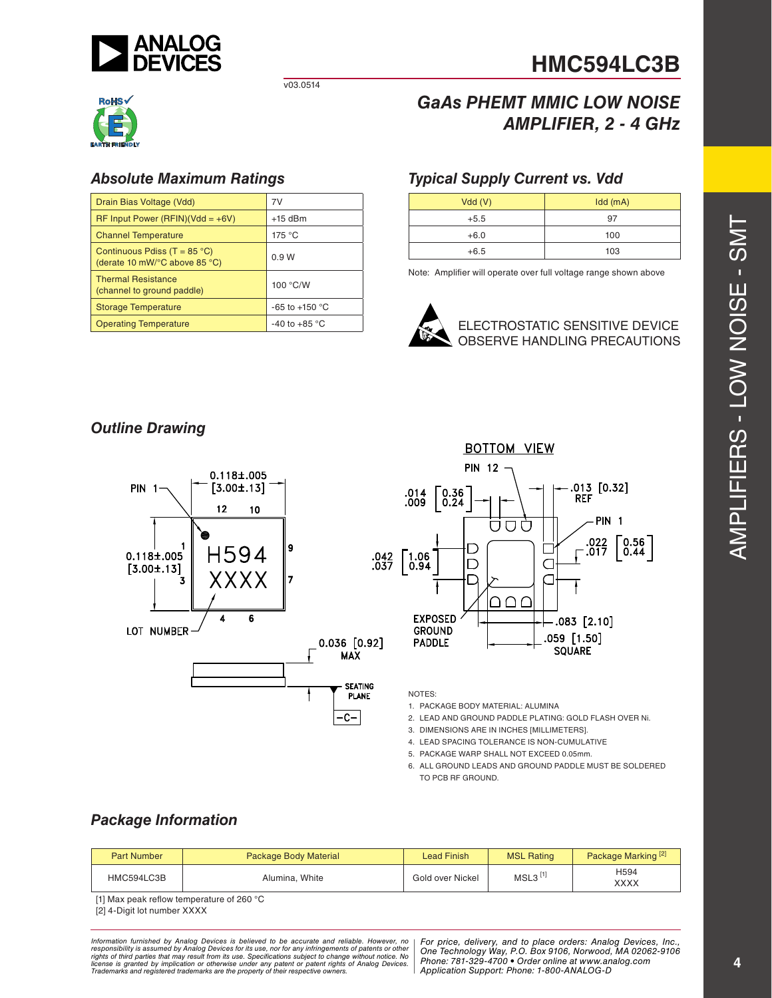

v03.0514



## *Absolute Maximum Ratings*

| Drain Bias Voltage (Vdd)                                                                  | 7V                      |  |
|-------------------------------------------------------------------------------------------|-------------------------|--|
| $RF$ Input Power (RFIN)(Vdd = +6V)                                                        | $+15$ dBm               |  |
| <b>Channel Temperature</b>                                                                | 175 °C                  |  |
| Continuous Pdiss (T = $85^{\circ}$ C)<br>(derate 10 mW/ $\degree$ C above 85 $\degree$ C) | 0.9W                    |  |
| <b>Thermal Resistance</b><br>(channel to ground paddle)                                   | 100 °C/W                |  |
| <b>Storage Temperature</b>                                                                | $-65$ to $+150$ °C      |  |
| <b>Operating Temperature</b>                                                              | -40 to +85 $^{\circ}$ C |  |

# *GaAs PHEMT MMIC LOW NOISE AMPLIFIER, 2 - 4 GHz*

## *Typical Supply Current vs. Vdd*

| Vdd(V) | $Idd$ (mA) |
|--------|------------|
| $+5.5$ | 97         |
| $+6.0$ | 100        |
| $+6.5$ | 103        |

Note: Amplifier will operate over full voltage range shown above



## *Outline Drawing*





NOTES:

1. PACKAGE BODY MATERIAL: ALUMINA

- 2. LEAD AND GROUND PADDLE PLATING: GOLD FLASH OVER Ni.
- 3. DIMENSIONS ARE IN INCHES [MILLIMETERS].
- 4. LEAD SPACING TOLERANCE IS NON-CUMULATIVE
- 5. PACKAGE WARP SHALL NOT EXCEED 0.05mm.
- 6. ALL GROUND LEADS AND GROUND PADDLE MUST BE SOLDERED TO PCB RF GROUND.

## *Package Information*

| <b>Part Number</b> | <b>Package Body Material</b> | Lead Finish      | <b>MSL Rating</b> | Package Marking <sup>[2]</sup> |
|--------------------|------------------------------|------------------|-------------------|--------------------------------|
| HMC594LC3B         | Alumina, White               | Gold over Nickel | MSL3              | H594<br>XXXX                   |

[1] Max peak reflow temperature of 260 °C

[2] 4-Digit lot number XXXX

*Formation iurnished by Analog Devices is believed to be accurate and reliable. However, no Hor price, delivery, and to place orders: Analog Devices, In<br>roonsibility is assumed by Analog Devices for its use, nor for any pressult from its use. Specifications subject to change without notice. No*<br>ation or otherwise under any patent or patent rights of Analog Devices Phone: 781-329-4700 • Order online at ww *e* the property of their respective owners. **Application Support: Phone: 1-8** Information furnished by Analog Devices is believed to be accurate and reliable. However, no<br>responsibility is assumed by Analog Devices for its use, nor for any infringements of patents or other<br>rights of third parties th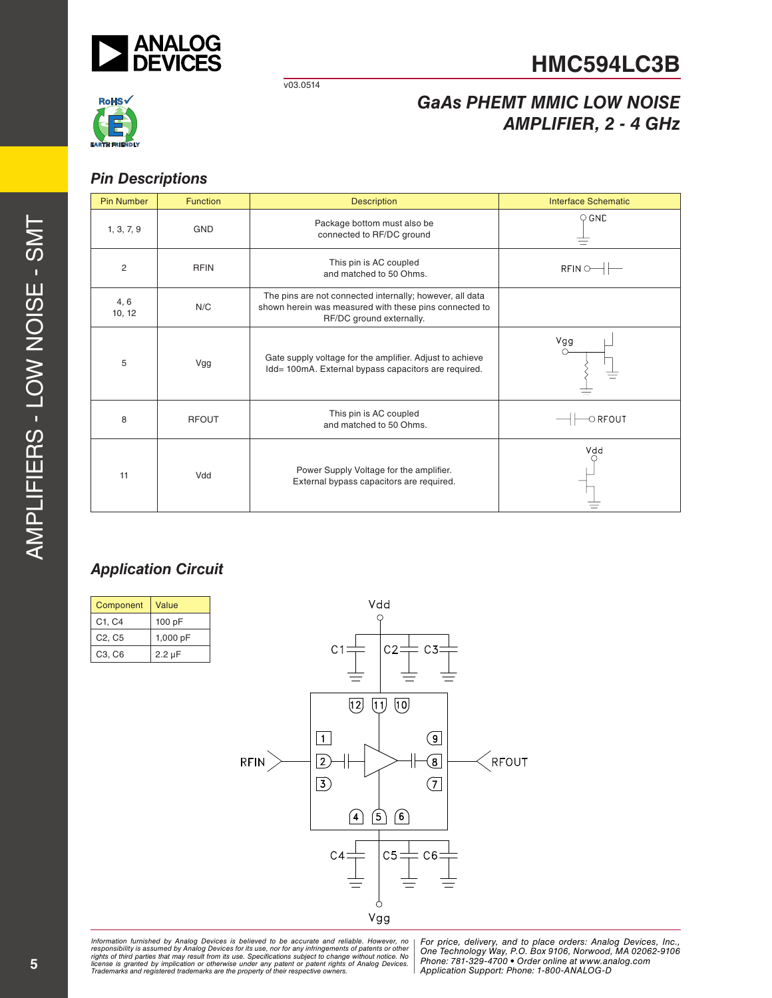

v03.0514



# *GaAs PHEMT MMIC LOW NOISE AMPLIFIER, 2 - 4 GHz*

## *Pin Descriptions*

| <b>Pin Number</b> | <b>Function</b> | <b>Description</b><br><b>Interface Schematic</b>                                                                                               |               |  |
|-------------------|-----------------|------------------------------------------------------------------------------------------------------------------------------------------------|---------------|--|
| 1, 3, 7, 9        | <b>GND</b>      | Package bottom must also be<br>connected to RF/DC ground                                                                                       | $\circ$ GND   |  |
| 2                 | <b>RFIN</b>     | This pin is AC coupled<br>and matched to 50 Ohms.                                                                                              | $RFIN$ $\sim$ |  |
| 4, 6<br>10, 12    | N/C             | The pins are not connected internally; however, all data<br>shown herein was measured with these pins connected to<br>RF/DC ground externally. |               |  |
| 5                 | Vgg             | Gate supply voltage for the amplifier. Adjust to achieve<br>Idd= 100mA. External bypass capacitors are required.                               | Vgg           |  |
| 8                 | <b>RFOUT</b>    | This pin is AC coupled<br>and matched to 50 Ohms.                                                                                              | $\circ$ RFOUT |  |
| 11                | Vdd             | Power Supply Voltage for the amplifier.<br>External bypass capacitors are required.                                                            | Vdd           |  |

# *Application Circuit*

| Component                       | Value       |
|---------------------------------|-------------|
| C <sub>1</sub> , C <sub>4</sub> | 100 pF      |
| C <sub>2</sub> , C <sub>5</sub> | 1,000 pF    |
| C <sub>3</sub> , C <sub>6</sub> | $2.2 \mu F$ |



*Formation iurnished by Analog Devices is believed to be accurate and reliable. However, no Hor price, delivery, and to place orders: Analog Devices, In<br>roonsibility is assumed by Analog Devices for its use, nor for any pressult from its use. Specifications subject to change without notice. No*<br>ation or otherwise under any patent or patent rights of Analog Devices Phone: 781-329-4700 • Order online at ww *e* the property of their respective owners. **Application Support: Phone: 1-8** Information furnished by Analog Devices is believed to be accurate and reliable. However, no<br>responsibility is assumed by Analog Devices for its use, nor for any infringements of patents or other<br>rights of third parties th